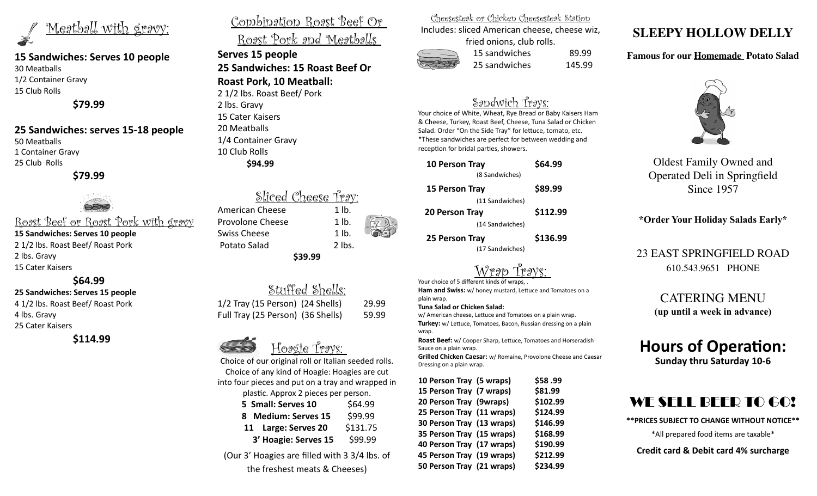Meatball with gravy:

### **15 Sandwiches: Serves 10 people** 30 Meatballs 1/2 Container Gravy

15 Club Rolls

**\$79.99**

### **25 Sandwiches: serves 15-18 people** 50 Meatballs 1 Container Gravy

25 Club Rolls

 **\$79.99** 



Roast Beef or Roast Pork with gravy **15 Sandwiches: Serves 10 people** 2 1/2 lbs. Roast Beef/ Roast Pork 2 lbs. Gravy 15 Cater Kaisers

**\$64.99** 

### **25 Sandwiches: Serves 15 people**

4 1/2 lbs. Roast Beef/ Roast Pork 4 lbs. Gravy 25 Cater Kaisers

**\$114.99** 

## Combination Roast Beef Or Roast Pork and Meatballs

**Serves 15 people 25 Sandwiches: 15 Roast Beef Or Roast Pork, 10 Meatball:** 2 1/2 lbs. Roast Beef/ Pork

2 lbs. Gravy 15 Cater Kaisers 20 Meatballs 1/4 Container Gravy 10 Club Rolls **\$94.99** 

Sliced Cheese Tray: American Cheese 1 lb. Provolone Cheese 1 lb. Swiss Cheese 1 lb. Potato Salad 2 lbs. **\$39.99**

Stuffed Shells: 1/2 Tray (15 Person) (24 Shells) 29.99 Full Tray (25 Person) (36 Shells) 59.99



Choice of our original roll or Italian seeded rolls. Choice of any kind of Hoagie: Hoagies are cut into four pieces and put on a tray and wrapped in

plastic. Approx 2 pieces per person.

| 5 Small: Serves 10   | \$64.99  |
|----------------------|----------|
| 8 Medium: Serves 15  | \$99.99  |
| 11 Large: Serves 20  | \$131.75 |
| 3' Hoagie: Serves 15 | \$99.99  |

(Our 3' Hoagies are filled with 3 3/4 lbs. of the freshest meats & Cheeses)

Cheesesteak or Chicken Cheesesteak Station

Includes: sliced American cheese, cheese wiz, fried onions, club rolls.

 15 sandwiches 89.99 25 sandwiches 145.99

## Sandwich Trays:

Your choice of White, Wheat, Rye Bread or Baby Kaisers Ham & Cheese, Turkey, Roast Beef, Cheese, Tuna Salad or Chicken Salad. Order "On the Side Tray" for lettuce, tomato, etc. \*These sandwiches are perfect for between wedding and reception for bridal parties, showers.

| <b>10 Person Tray</b><br>(8 Sandwiches) | \$64.99  |
|-----------------------------------------|----------|
| 15 Person Tray                          | \$89.99  |
| (11 Sandwiches)                         |          |
| 20 Person Tray                          | \$112.99 |
| (14 Sandwiches)                         |          |
| 25 Person Tray                          | \$136.99 |

(17 Sandwiches)

<u>Wrap Trays:</u>

Your choice of 5 different kinds of wraps **Ham and Swiss:** w/ honey mustard, Lettuce and Tomatoes on a plain wrap.

#### **Tuna Salad or Chicken Salad:**

w/ American cheese, Lettuce and Tomatoes on a plain wrap. **Turkey:** w/ Lettuce, Tomatoes, Bacon, Russian dressing on a plain wrap.

**Roast Beef:** w/ Cooper Sharp, Lettuce, Tomatoes and Horseradish Sauce on a plain wrap.

**Grilled Chicken Caesar:** w/ Romaine, Provolone Cheese and Caesar Dressing on a plain wrap.

| 10 Person Tray (5 wraps)  | \$58.99  |
|---------------------------|----------|
| 15 Person Tray (7 wraps)  | \$81.99  |
| 20 Person Tray (9wraps)   | \$102.99 |
| 25 Person Tray (11 wraps) | \$124.99 |
| 30 Person Tray (13 wraps) | \$146.99 |
| 35 Person Tray (15 wraps) | \$168.99 |
| 40 Person Tray (17 wraps) | \$190.99 |
| 45 Person Tray (19 wraps) | \$212.99 |
| 50 Person Tray (21 wraps) | \$234.99 |
|                           |          |

# **SLEEPY HOLLOW DELLY**

### **Famous for our Homemade Potato Salad**



Oldest Family Owned and Operated Deli in Springfield Since 1957

### **\*Order Your Holiday Salads Early\***

## 23 EAST SPRINGFIELD ROAD 610.543.9651 PHONE

CATERING MENU **(up until a week in advance)**

# **Hours of Operation:**

**Sunday thru Saturday 10-6**

# WE SELL BEER TO GO!

**\*\*PRICES SUBJECT TO CHANGE WITHOUT NOTICE\*\***

\*All prepared food items are taxable\*

**Credit card & Debit card 4% surcharge**